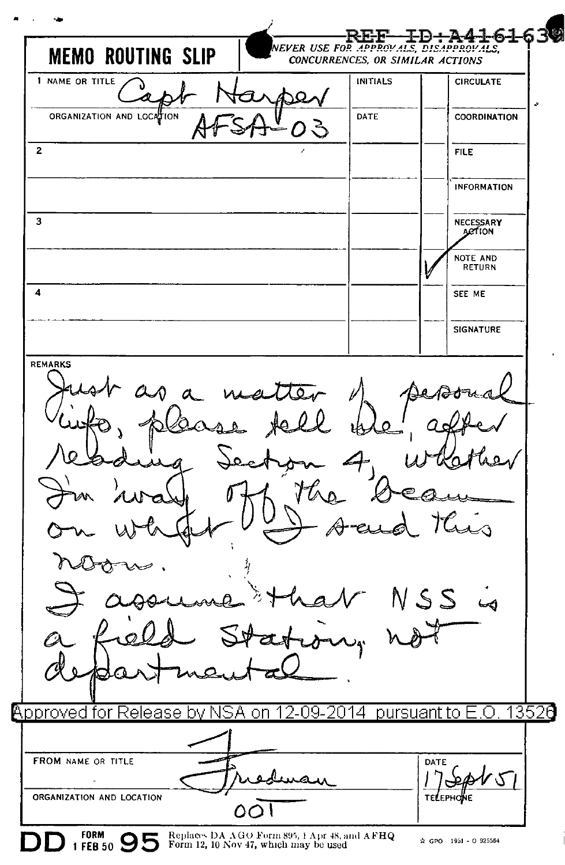$630$ EVER USE FOR APPROVALS, DISAPPROVALS, **MEMO ROUTING SLIP** CONCURRENCES, OR SIMILAR ACTIONS 1 NAME OR TITLE INITIALS **CIRCULATE** ORGANIZATION AND LOCATION DATE **COORDINATION**  $\overline{2}$  $FII$  $F$ **INFORMATION**  $\overline{a}$ NECESSARY<br>APTION NOTE AND RETURN  $\overline{4}$ SEE ME **SIGNATURE** REMARKS ਨ محا 13520 **Approved for Release** 2014 pursuant to hv ۹4 NQ. nn O **FROM NAME OR TITLE** DATE A ک ORGANIZATION AND LOCATION Oι **FORM** Replaces DA AGO Form 895, 1 Apr 48, and AFHQ<br>Form 12, 10 Nov 47, which may be used 1 FEB 50 95 ☆ GPO 1951 - O 925564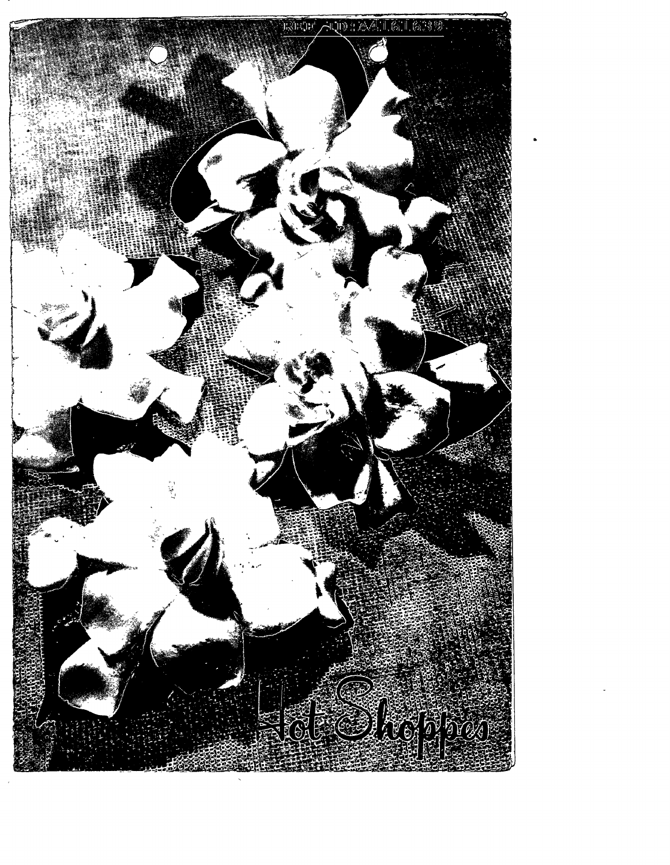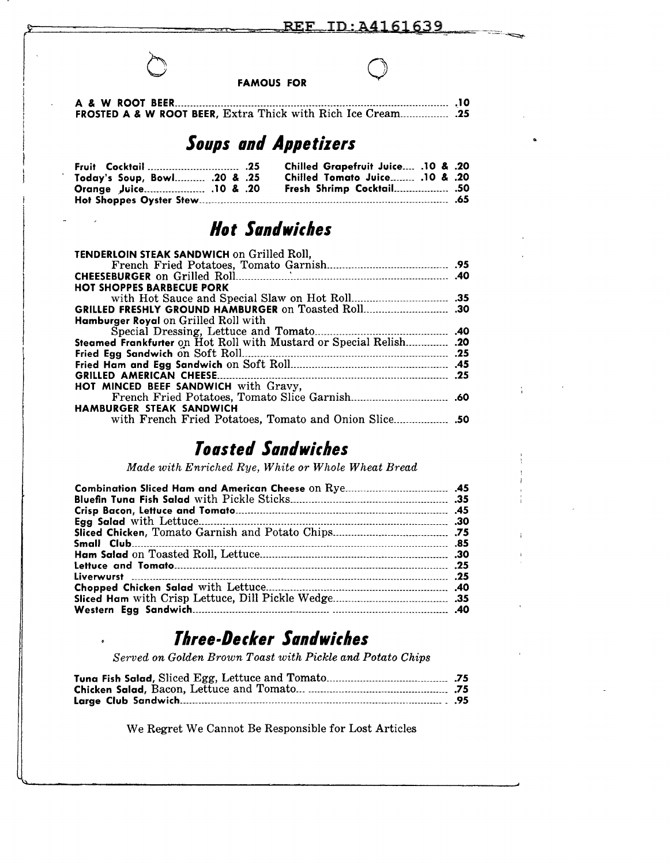**FAMOUS FOR** 

I

I I

j A & W ROOT BEER------------------------------------------------------------------------------------------ .\_10 i FROSTED A & W ROOT BEER, Extra Thick with Rich Ice Cream \_\_\_\_\_\_\_\_\_\_\_\_\_\_\_\_ .25

# **Soups and Appetizers**

| <b>Fruit</b> Cocktail  .25       |  | Chilled Grapefruit Juice .10 & .20 |  |
|----------------------------------|--|------------------------------------|--|
| 75. Today's Soup, Bowl .20 & .25 |  | 20. & 10. Chilled Tomato Juice     |  |
|                                  |  | <b>Fresh Shrimp Cocktail .50</b>   |  |
|                                  |  |                                    |  |

# **Hot Sandwiches**

| <b>TENDERLOIN STEAK SANDWICH on Grilled Roll,</b>                       |  |
|-------------------------------------------------------------------------|--|
|                                                                         |  |
|                                                                         |  |
| <b>HOT SHOPPES BARBECUE PORK</b>                                        |  |
|                                                                         |  |
|                                                                         |  |
| <b>Hamburger Royal</b> on Grilled Roll with                             |  |
| Special Dressing, Lettuce and Tomato                                    |  |
| 51.  Areamed Frankfurter on Hot Roll with Mustard or Special Relish .20 |  |
|                                                                         |  |
|                                                                         |  |
| <b>GRILLED AMERICAN CHEESE.</b>                                         |  |
| HOT MINCED BEEF SANDWICH with Gravy,                                    |  |
|                                                                         |  |
| <b>HAMBURGER STEAK SANDWICH</b>                                         |  |
|                                                                         |  |

# *Toasted Santlwicbes*

*Made with Enriched Rye, White or Whole Wheat Bread* 

| Small Club. |  |
|-------------|--|
|             |  |
|             |  |
|             |  |
|             |  |
|             |  |
|             |  |

# *Tllree-Decker Santlwicbes*

*Served on Golden Brown Toast with Pickle and Potato Chips* 

We Regret We Cannot Be Responsible for Lost Articles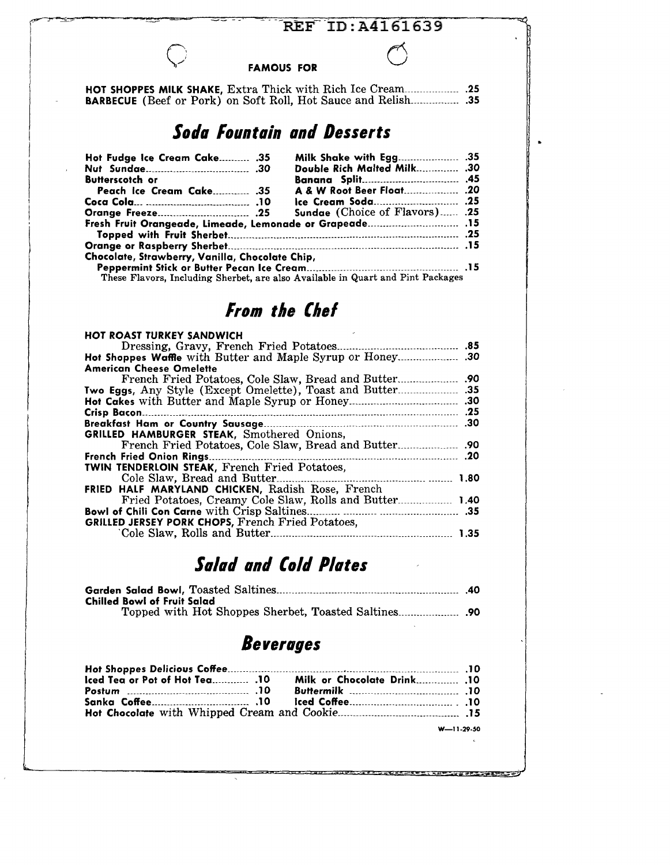### REF ID: A4161639

#### FAMOUS FOR

|  | <b>BARBECUE</b> (Beef or Pork) on Soft Roll, Hot Sauce and Relish 35 |  |
|--|----------------------------------------------------------------------|--|

# *Sotla Fountain anti Desserts*

| Hot Fudge Ice Cream Cake .35                    | Milk Shake with Egg .35               |  |
|-------------------------------------------------|---------------------------------------|--|
|                                                 | Double Rich Malted Milk .30           |  |
| <b>Butterscotch or</b>                          |                                       |  |
|                                                 | A & W Root Beer Float .20             |  |
|                                                 |                                       |  |
|                                                 | <b>Sundae</b> (Choice of Flavors) .25 |  |
|                                                 |                                       |  |
|                                                 |                                       |  |
| Chocolate, Strawberry, Vanilla, Chocolate Chip, |                                       |  |
|                                                 |                                       |  |

These Flavors, Including Sherbet, are also Available in Quart and Pint Packages

# *From the Chef*

| <b>HOT ROAST TURKEY SANDWICH</b>                          |
|-----------------------------------------------------------|
|                                                           |
|                                                           |
| <b>American Cheese Omelette</b>                           |
| .90<br>French Fried Potatoes, Cole Slaw, Bread and Butter |
|                                                           |
|                                                           |
| <b>Crisp Bacon.</b>                                       |
|                                                           |
| <b>GRILLED HAMBURGER STEAK, Smothered Onions,</b>         |
| .90                                                       |
| French Fried Onion Rings.<br>.20                          |
| <b>TWIN TENDERLOIN STEAK, French Fried Potatoes,</b>      |
| Cole Slaw. Bread and Butter.<br>1.80                      |
| <b>FRIED HALF MARYLAND CHICKEN, Radish Rose, French</b>   |
| Fried Potatoes, Creamy Cole Slaw, Rolls and Butter 1.40   |
|                                                           |
| GRILLED JERSEY PORK CHOPS, French Fried Potatoes,         |
| 1.35                                                      |

# *Salad anti Co/ti Plates*

| Chilled Bowl of Fruit Salad |  |
|-----------------------------|--|
|                             |  |

# *Beverages*

| Iced Tea or Pot of Hot Tea .10 | 10. Milk or Chocolate Drink 10 |
|--------------------------------|--------------------------------|
|                                |                                |
|                                |                                |
|                                |                                |
|                                | $W = 11.20.50$                 |

W-11-29-50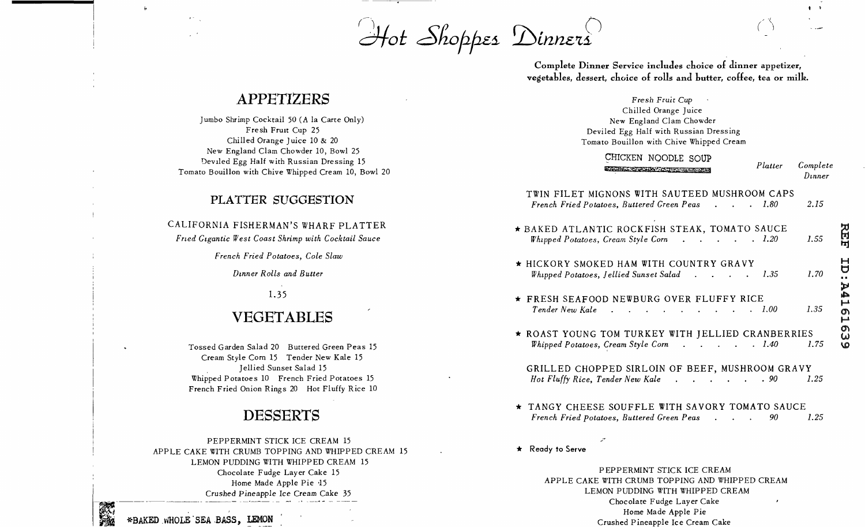$\mathcal{A}$ ot Shoppes Dinners

Complete Dinner Service includes choice of dinner appetizer, vegetables, dessert, choice of rolls and butter, coffee, tea or milk.

### APPETIZERS

Jumbo Shrimp Cocktail 50 (A la Carte Only) Fresh Fruit Cup 25 Chilled Orange Juice 10 & 20 New England Clam Chowder 10, Bowl 25 Deviled Egg Half with Russian Dressing 15 Tomato Bouillon with Chive Whipped Cream 10, Bowl 20

### PLATTER SUGGESTION

#### CALIFORNIA FISHERMAN'S WHARF PLATTER

Fried Gigantic West Coast Shrimp with Cocktail Sauce

French Fried Potatoes, Cole Slaw

Dinner Rolls and Butter

1.35

# VEGETABLES

Tossed Garden Salad 20 Buttered Green Peas 15 Cream Style Corn 15 Tender New Kale 15 Jellied Sunset Salad 15 Whipped Potatoes 10 French Fried Potatoes 15 French Fried Onion Rings 20 Hot Fluffy Rice 10

# **DESSERTS**

PEPPERMINT STICK ICE CREAM 15 APPLE CAKE WITH CRUMB TOPPING AND WHIPPED CREAM 15 LEMON PUDDING WITH WHIPPED CREAM 15 Chocolate Fudge Layer Cake 15 Home Made Apple Pie 15 Crushed Pineapple Ice Cream Cake 35

\*BAKED WHOLE SEA BASS, LEMON

Fresh Fruit Cup Chilled Orange Juice New England Clam Chowder Deviled Egg Half with Russian Dressing Tomato Bouillon with Chive Whipped Cream

CHICKEN NOODLE SOUP **ENGINEERING CONTRACTOR** 

Platter Complete  $D$ *inner* 

2.15

집

Ēŋ

Ë

ЬJ

۵Ĵ,

щ

.<br>ص

Ø)

 $\tilde{\omega}$ 

**LO** 

 $\mathbf{q}=\mathbf{q}$ 

#### TWIN FILET MIGNONS WITH SAUTEED MUSHROOM CAPS French Fried Potatoes, Buttered Green Peas . . . 1.80

- \* BAKED ATLANTIC ROCKFISH STEAK, TOMATO SAUCE Whipped Potatoes, Cream Style Corn . . . . 1.20 1.55 \* HICKORY SMOKED HAM WITH COUNTRY GRAVY Whipped Potatoes, Jellied Sunset Salad . . . . 1.35 1.70
- \* FRESH SEAFOOD NEWBURG OVER FLUFFY RICE Tender New Kale 1.35  $\therefore$   $\therefore$   $\therefore$   $\therefore$   $\therefore$   $1,00$
- \* ROAST YOUNG TOM TURKEY WITH JELLIED CRANBERRIES Whipped Potatoes, Cream Style Corn . . . . 1.40 1.75

#### GRILLED CHOPPED SIRLOIN OF BEEF, MUSHROOM GRAVY Hot Fluffy Rice, Tender New Kale . . . . . . 90 1.25

- \* TANGY CHEESE SOUFFLE WITH SAVORY TOMATO SAUCE French Fried Potatoes, Buttered Green Peas . . . 90 1.25
- \* Ready to Serve

PEPPERMINT STICK ICE CREAM APPLE CAKE WITH CRUMB TOPPING AND WHIPPED CREAM LEMON PUDDING WITH WHIPPED CREAM Chocolate Fudge Layer Cake Home Made Apple Pie Crushed Pineapple Ice Cream Cake